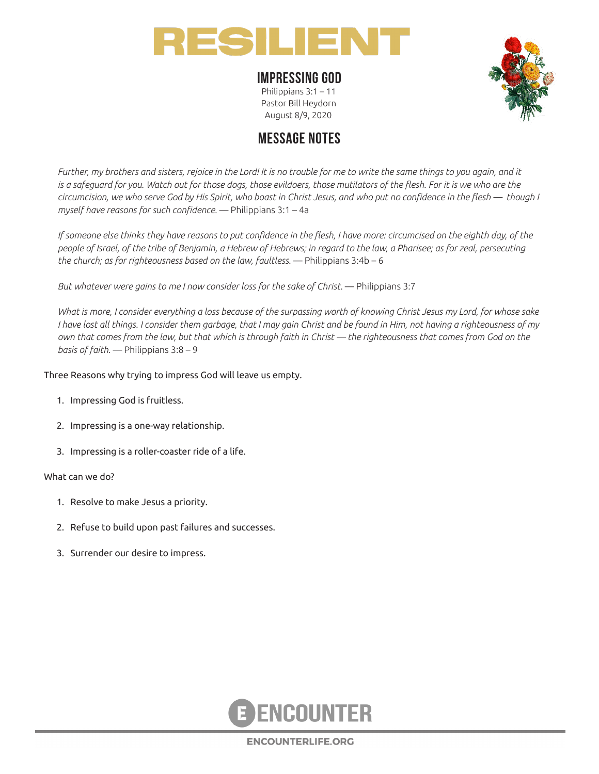

### **IMPRESSING GOD**

Philippians 3:1 – 11 Pastor Bill Heydorn August 8/9, 2020



# **MESSAGE NOTES**

*Further, my brothers and sisters, rejoice in the Lord! It is no trouble for me to write the same things to you again, and it*  is a safeguard for you. Watch out for those dogs, those evildoers, those mutilators of the flesh. For it is we who are the *circumcision, we who serve God by His Spirit, who boast in Christ Jesus, and who put no confidence in the flesh — though I myself have reasons for such confidence.* — Philippians 3:1 – 4a

If someone else thinks they have reasons to put confidence in the flesh, I have more: circumcised on the eighth day, of the *people of Israel, of the tribe of Benjamin, a Hebrew of Hebrews; in regard to the law, a Pharisee; as for zeal, persecuting the church; as for righteousness based on the law, faultless.* — Philippians 3:4b – 6

*But whatever were gains to me I now consider loss for the sake of Christ.* — Philippians 3:7

*What is more, I consider everything a loss because of the surpassing worth of knowing Christ Jesus my Lord, for whose sake I have lost all things. I consider them garbage, that I may gain Christ and be found in Him, not having a righteousness of my own that comes from the law, but that which is through faith in Christ — the righteousness that comes from God on the basis of faith.* — Philippians 3:8 – 9

#### Three Reasons why trying to impress God will leave us empty.

- 1. Impressing God is fruitless.
- 2. Impressing is a one-way relationship.
- 3. Impressing is a roller-coaster ride of a life.

#### What can we do?

- 1. Resolve to make Jesus a priority.
- 2. Refuse to build upon past failures and successes.
- 3. Surrender our desire to impress.